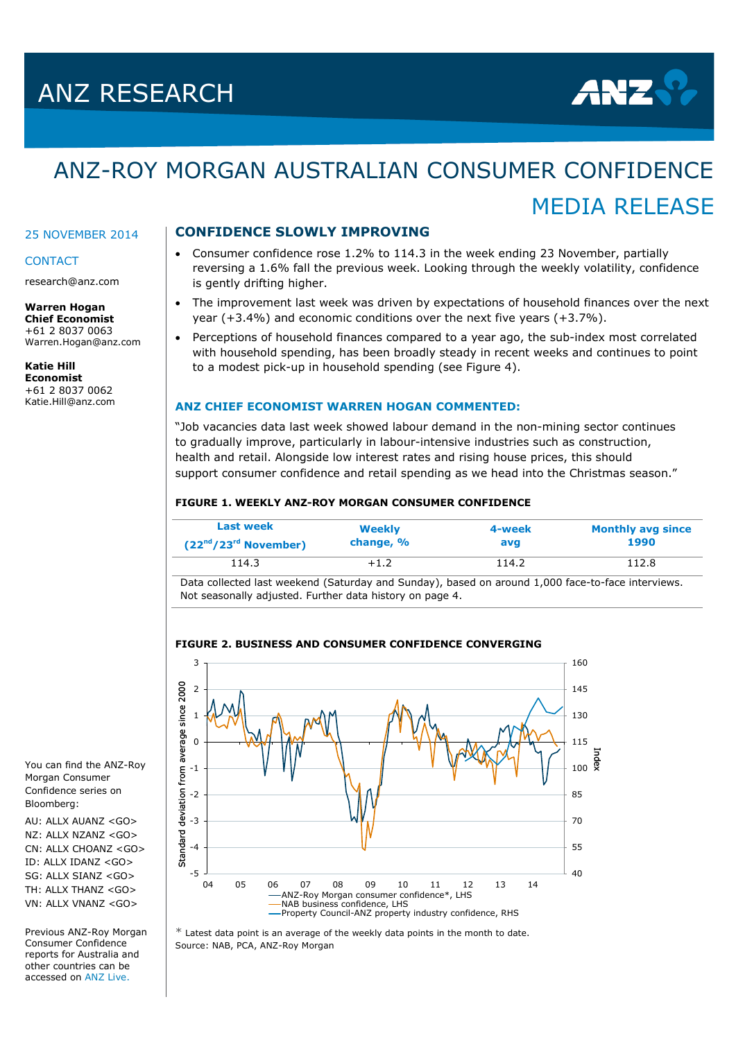# ANZ RESEARCH



MEDIA RELEASE

# ANZ-ROY MORGAN AUSTRALIAN CONSUMER CONFIDENCE

#### 25 NOVEMBER 2014

## **CONTACT**

research@anz.com

#### **Warren Hogan Chief Economist**  +61 2 8037 0063 Warren.Hogan@anz.com

**Katie Hill Economist** +61 2 8037 0062 [Katie.Hill@anz.com](mailto:Katie.Hill@anz.com)

## **CONFIDENCE SLOWLY IMPROVING**

- Consumer confidence rose 1.2% to 114.3 in the week ending 23 November, partially reversing a 1.6% fall the previous week. Looking through the weekly volatility, confidence is gently drifting higher.
- The improvement last week was driven by expectations of household finances over the next year (+3.4%) and economic conditions over the next five years (+3.7%).
- Perceptions of household finances compared to a year ago, the sub-index most correlated with household spending, has been broadly steady in recent weeks and continues to point to a modest pick-up in household spending (see Figure 4).

## **ANZ CHIEF ECONOMIST WARREN HOGAN COMMENTED:**

"Job vacancies data last week showed labour demand in the non-mining sector continues to gradually improve, particularly in labour-intensive industries such as construction, health and retail. Alongside low interest rates and rising house prices, this should support consumer confidence and retail spending as we head into the Christmas season."

#### **FIGURE 1. WEEKLY ANZ-ROY MORGAN CONSUMER CONFIDENCE**

| <b>Last week</b>       | Weekly    | 4-week | <b>Monthly avg since</b> |
|------------------------|-----------|--------|--------------------------|
| $(22nd/23rd$ November) | change, % | avg    | 1990                     |
| 114.3                  | $+1.2$    | 114.2  | 112.8                    |

Data collected last weekend (Saturday and Sunday), based on around 1,000 face-to-face interviews. Not seasonally adjusted. Further data history on page 4.



## **FIGURE 2. BUSINESS AND CONSUMER CONFIDENCE CONVERGING**

 $*$  Latest data point is an average of the weekly data points in the month to date. Source: NAB, PCA, ANZ-Roy Morgan

You can find the ANZ-Roy Morgan Consumer Confidence series on Bloomberg:

AU: ALLX AUANZ <GO>  $NZ:$  ALLX  $NZANZ < GO$ CN: ALLX CHOANZ <GO> ID: ALLX IDANZ <GO> SG: ALLX SIANZ <GO> TH: ALLX THANZ <GO> VN: ALLX VNANZ <GO>

Previous ANZ-Roy Morgan Consumer Confidence reports for Australia and other countries can be accessed o[n ANZ Live.](https://anzlive.secure.force.com/cms__Main?name=Publications&tags=Publications%2FANZ-Roy+Morgan+Consumer+Confidence)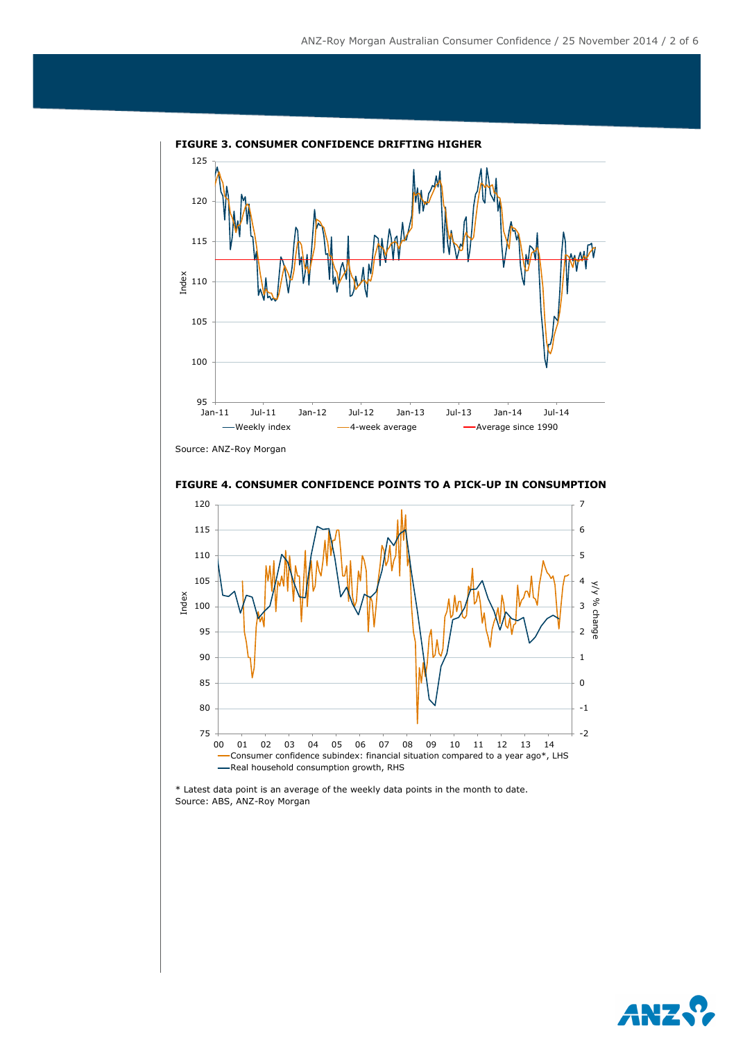

**FIGURE 3. CONSUMER CONFIDENCE DRIFTING HIGHER**

Source: ANZ-Roy Morgan





\* Latest data point is an average of the weekly data points in the month to date. Source: ABS, ANZ-Roy Morgan

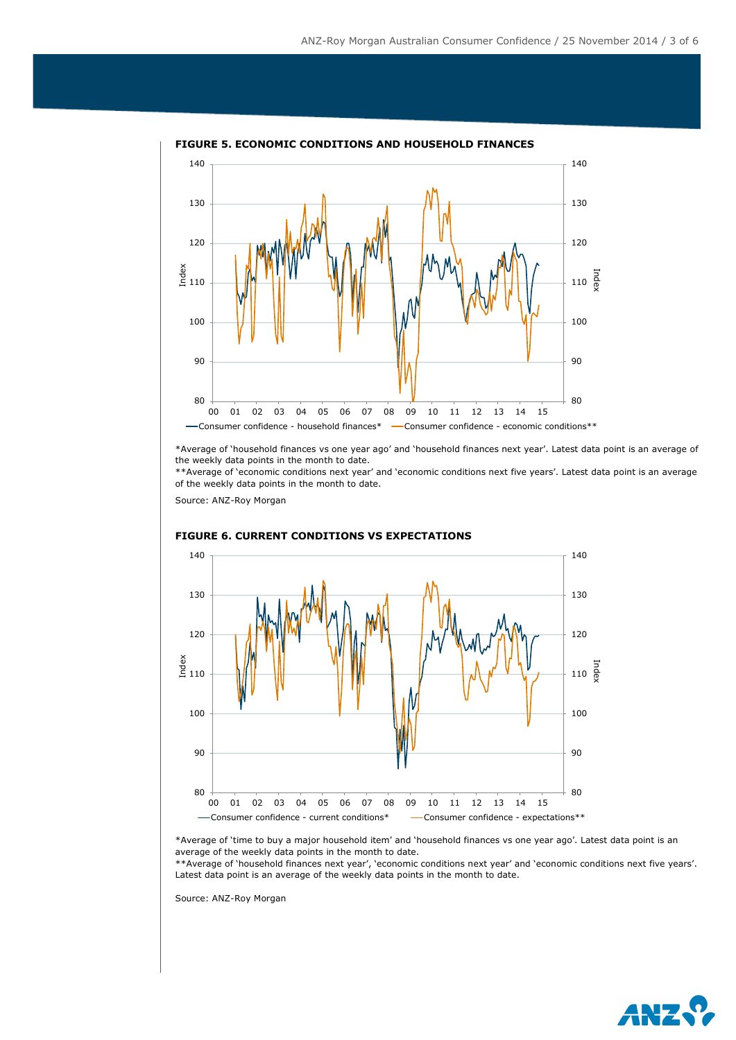

#### **FIGURE 5. ECONOMIC CONDITIONS AND HOUSEHOLD FINANCES**

\*Average of 'household finances vs one year ago' and 'household finances next year'. Latest data point is an average of the weekly data points in the month to date.

\*\*Average of 'economic conditions next year' and 'economic conditions next five years'. Latest data point is an average of the weekly data points in the month to date.

Source: ANZ-Roy Morgan



#### **FIGURE 6. CURRENT CONDITIONS VS EXPECTATIONS**

\*Average of 'time to buy a major household item' and 'household finances vs one year ago'. Latest data point is an average of the weekly data points in the month to date.

\*\*Average of 'household finances next year', 'economic conditions next year' and 'economic conditions next five years'. Latest data point is an average of the weekly data points in the month to date.

Source: ANZ-Roy Morgan

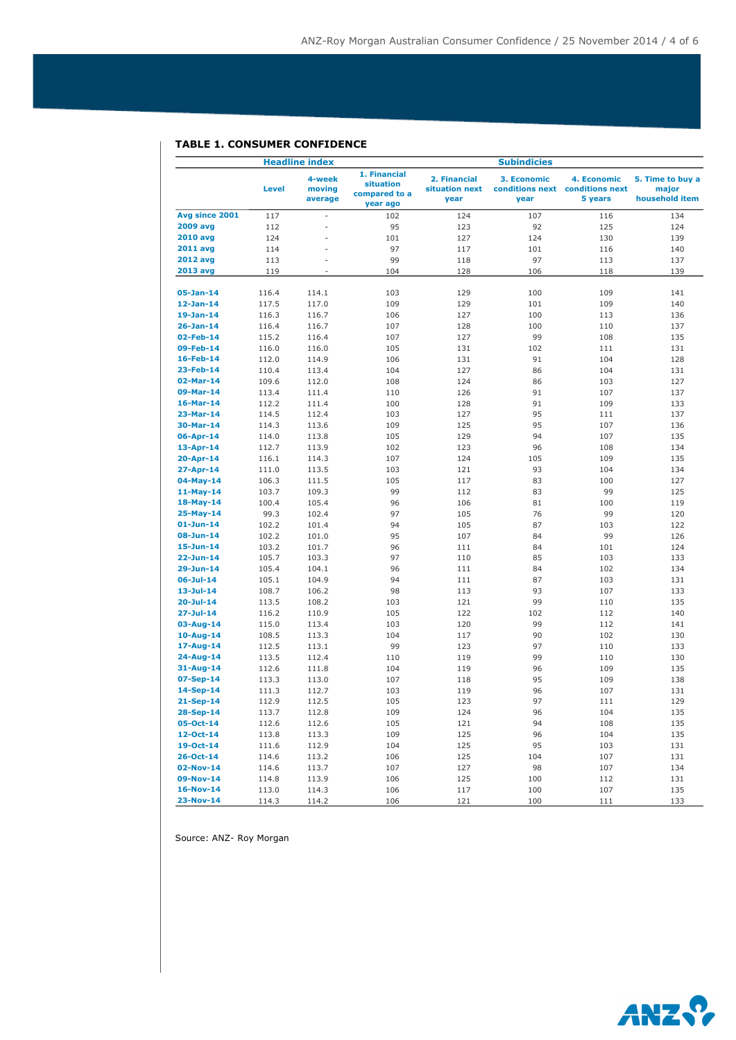# **TABLE 1. CONSUMER CONFIDENCE**

|                                    | <b>Headline index</b> |                             |                                                        | <b>Subindicies</b>                     |                     |                                                           |                                             |
|------------------------------------|-----------------------|-----------------------------|--------------------------------------------------------|----------------------------------------|---------------------|-----------------------------------------------------------|---------------------------------------------|
|                                    | <b>Level</b>          | 4-week<br>moving<br>average | 1. Financial<br>situation<br>compared to a<br>year ago | 2. Financial<br>situation next<br>year | 3. Economic<br>year | 4. Economic<br>conditions next conditions next<br>5 years | 5. Time to buy a<br>major<br>household item |
| Avg since 2001                     | 117                   | ÷,                          | 102                                                    | 124                                    | 107                 | 116                                                       | 134                                         |
| <b>2009 avg</b>                    | 112                   | ×,                          | 95                                                     | 123                                    | 92                  | 125                                                       | 124                                         |
| <b>2010 avg</b>                    | 124                   | ÷,                          | 101                                                    | 127                                    | 124                 | 130                                                       | 139                                         |
| <b>2011 avg</b>                    | 114                   | ä,                          | 97                                                     | 117                                    | 101                 | 116                                                       | 140                                         |
| <b>2012 avg</b>                    | 113                   | ä,                          | 99                                                     | 118                                    | 97                  | 113                                                       | 137                                         |
| 2013 avg                           | 119                   | ×.                          | 104                                                    | 128                                    | 106                 | 118                                                       | 139                                         |
| $05-Jan-14$                        | 116.4                 | 114.1                       | 103                                                    | 129                                    | 100                 | 109                                                       | 141                                         |
| $12-Jan-14$                        | 117.5                 | 117.0                       | 109                                                    | 129                                    | 101                 | 109                                                       | 140                                         |
| $19-Jan-14$                        | 116.3                 | 116.7                       | 106                                                    | 127                                    | 100                 | 113                                                       | 136                                         |
| $26 - Jan - 14$                    | 116.4                 | 116.7                       | 107                                                    | 128                                    | 100                 | 110                                                       | 137                                         |
| 02-Feb-14                          | 115.2                 | 116.4                       | 107                                                    | 127                                    | 99                  | 108                                                       | 135                                         |
| 09-Feb-14                          | 116.0                 | 116.0                       | 105                                                    | 131                                    | 102                 | 111                                                       | 131                                         |
| 16-Feb-14                          | 112.0                 | 114.9                       | 106                                                    | 131                                    | 91                  | 104                                                       | 128                                         |
| 23-Feb-14                          | 110.4                 | 113.4                       | 104                                                    | 127                                    | 86                  | 104                                                       | 131                                         |
| 02-Mar-14                          | 109.6                 | 112.0                       | 108                                                    | 124                                    | 86                  | 103                                                       | 127                                         |
| 09-Mar-14                          | 113.4                 | 111.4                       | 110                                                    | 126                                    | 91                  | 107                                                       | 137                                         |
| $16$ -Mar-14                       | 112.2                 | 111.4                       | 100                                                    | 128                                    | 91                  | 109                                                       | 133                                         |
| 23-Mar-14                          | 114.5                 | 112.4                       | 103                                                    | 127                                    | 95                  | 111                                                       | 137                                         |
| 30-Mar-14                          | 114.3                 | 113.6                       | 109                                                    | 125                                    | 95                  | 107                                                       | 136                                         |
| 06-Apr-14                          | 114.0                 | 113.8                       | 105                                                    | 129                                    | 94                  | 107                                                       | 135                                         |
| 13-Apr-14                          | 112.7                 | 113.9                       | 102                                                    | 123                                    | 96                  | 108                                                       | 134                                         |
| 20-Apr-14                          | 116.1                 | 114.3                       | 107                                                    | 124                                    | 105                 | 109                                                       | 135                                         |
| 27-Apr-14                          | 111.0                 | 113.5                       | 103                                                    | 121                                    | 93                  | 104                                                       | 134                                         |
| $04-May-14$                        | 106.3                 | 111.5                       | 105                                                    | 117                                    | 83                  | 100                                                       | 127                                         |
| $11-May-14$                        | 103.7                 | 109.3                       | 99                                                     | 112                                    | 83                  | 99                                                        | 125                                         |
| 18-May-14                          | 100.4                 | 105.4                       | 96                                                     | 106                                    | 81                  | 100                                                       | 119                                         |
| 25-May-14                          | 99.3                  | 102.4                       | 97                                                     | 105                                    | 76                  | 99                                                        | 120                                         |
| $01-$ Jun-14                       | 102.2                 | 101.4                       | 94                                                     | 105                                    | 87                  | 103                                                       | 122                                         |
| 08-Jun-14                          | 102.2                 | 101.0                       | 95                                                     | 107                                    | 84                  | 99                                                        | 126                                         |
| $15 - Jun-14$                      | 103.2                 | 101.7                       | 96                                                     | 111                                    | 84                  | 101                                                       | 124                                         |
| $22 - Jun - 14$                    | 105.7                 | 103.3                       | 97                                                     | 110                                    | 85                  | 103                                                       | 133                                         |
| 29-Jun-14                          | 105.4                 | 104.1                       | 96                                                     | 111                                    | 84                  | 102                                                       | 134                                         |
| $06 -$ Jul-14                      | 105.1                 | 104.9                       | 94                                                     | 111                                    | 87                  | 103                                                       | 131                                         |
| $13 - Jul - 14$<br>$20 - Jul - 14$ | 108.7                 | 106.2                       | 98                                                     | 113                                    | 93<br>99            | 107                                                       | 133                                         |
| $27 -$ Jul-14                      | 113.5                 | 108.2                       | 103<br>105                                             | 121<br>122                             | 102                 | 110                                                       | 135                                         |
| 03-Aug-14                          | 116.2<br>115.0        | 110.9<br>113.4              | 103                                                    | 120                                    | 99                  | 112<br>112                                                | 140<br>141                                  |
| $10$ -Aug-14                       | 108.5                 | 113.3                       | 104                                                    | 117                                    | 90                  | 102                                                       | 130                                         |
| 17-Aug-14                          | 112.5                 | 113.1                       | 99                                                     | 123                                    | 97                  | 110                                                       | 133                                         |
| 24-Aug-14                          | 113.5                 | 112.4                       | 110                                                    | 119                                    | 99                  | 110                                                       | 130                                         |
| 31-Aug-14                          | 112.6                 | 111.8                       | 104                                                    | 119                                    | 96                  | 109                                                       | 135                                         |
| 07-Sep-14                          | 113.3                 | 113.0                       | 107                                                    | 118                                    | 95                  | 109                                                       | 138                                         |
| 14-Sep-14                          | 111.3                 | 112.7                       | 103                                                    | 119                                    | 96                  | 107                                                       | 131                                         |
| $21-Sep-14$                        | 112.9                 | 112.5                       | 105                                                    | 123                                    | 97                  | 111                                                       | 129                                         |
| 28-Sep-14                          | 113.7                 | 112.8                       | 109                                                    | 124                                    | 96                  | 104                                                       | 135                                         |
| 05-Oct-14                          | 112.6                 | 112.6                       | 105                                                    | 121                                    | 94                  | 108                                                       | 135                                         |
| $12 - Oct - 14$                    | 113.8                 | 113.3                       | 109                                                    | 125                                    | 96                  | 104                                                       | 135                                         |
| 19-Oct-14                          | 111.6                 | 112.9                       | 104                                                    | 125                                    | 95                  | 103                                                       | 131                                         |
| $26 - Oct - 14$                    | 114.6                 | 113.2                       | 106                                                    | 125                                    | 104                 | 107                                                       | 131                                         |
| 02-Nov-14                          | 114.6                 | 113.7                       | 107                                                    | 127                                    | 98                  | 107                                                       | 134                                         |
| 09-Nov-14                          | 114.8                 | 113.9                       | 106                                                    | 125                                    | 100                 | 112                                                       | 131                                         |
| 16-Nov-14                          | 113.0                 | 114.3                       | 106                                                    | 117                                    | 100                 | 107                                                       | 135                                         |
| 23-Nov-14                          | 114.3                 | 114.2                       | 106                                                    | 121                                    | 100                 | 111                                                       | 133                                         |

Source: ANZ- Roy Morgan

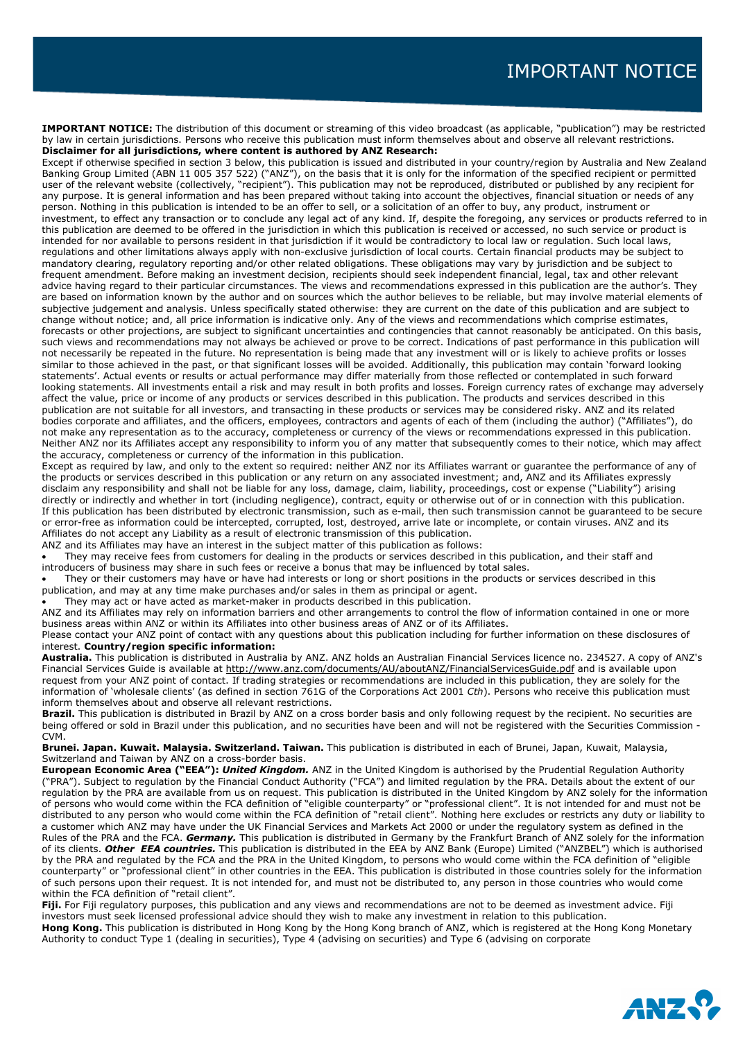**IMPORTANT NOTICE:** The distribution of this document or streaming of this video broadcast (as applicable, "publication") may be restricted by law in certain jurisdictions. Persons who receive this publication must inform themselves about and observe all relevant restrictions. **Disclaimer for all jurisdictions, where content is authored by ANZ Research:**

Except if otherwise specified in section 3 below, this publication is issued and distributed in your country/region by Australia and New Zealand Banking Group Limited (ABN 11 005 357 522) ("ANZ"), on the basis that it is only for the information of the specified recipient or permitted user of the relevant website (collectively, "recipient"). This publication may not be reproduced, distributed or published by any recipient for any purpose. It is general information and has been prepared without taking into account the objectives, financial situation or needs of any person. Nothing in this publication is intended to be an offer to sell, or a solicitation of an offer to buy, any product, instrument or investment, to effect any transaction or to conclude any legal act of any kind. If, despite the foregoing, any services or products referred to in this publication are deemed to be offered in the jurisdiction in which this publication is received or accessed, no such service or product is intended for nor available to persons resident in that jurisdiction if it would be contradictory to local law or regulation. Such local laws, regulations and other limitations always apply with non-exclusive jurisdiction of local courts. Certain financial products may be subject to mandatory clearing, regulatory reporting and/or other related obligations. These obligations may vary by jurisdiction and be subject to frequent amendment. Before making an investment decision, recipients should seek independent financial, legal, tax and other relevant advice having regard to their particular circumstances. The views and recommendations expressed in this publication are the author's. They are based on information known by the author and on sources which the author believes to be reliable, but may involve material elements of subjective judgement and analysis. Unless specifically stated otherwise: they are current on the date of this publication and are subject to change without notice; and, all price information is indicative only. Any of the views and recommendations which comprise estimates, forecasts or other projections, are subject to significant uncertainties and contingencies that cannot reasonably be anticipated. On this basis, such views and recommendations may not always be achieved or prove to be correct. Indications of past performance in this publication will not necessarily be repeated in the future. No representation is being made that any investment will or is likely to achieve profits or losses similar to those achieved in the past, or that significant losses will be avoided. Additionally, this publication may contain 'forward looking statements'. Actual events or results or actual performance may differ materially from those reflected or contemplated in such forward looking statements. All investments entail a risk and may result in both profits and losses. Foreign currency rates of exchange may adversely affect the value, price or income of any products or services described in this publication. The products and services described in this publication are not suitable for all investors, and transacting in these products or services may be considered risky. ANZ and its related bodies corporate and affiliates, and the officers, employees, contractors and agents of each of them (including the author) ("Affiliates"), do not make any representation as to the accuracy, completeness or currency of the views or recommendations expressed in this publication. Neither ANZ nor its Affiliates accept any responsibility to inform you of any matter that subsequently comes to their notice, which may affect the accuracy, completeness or currency of the information in this publication.

Except as required by law, and only to the extent so required: neither ANZ nor its Affiliates warrant or guarantee the performance of any of the products or services described in this publication or any return on any associated investment; and, ANZ and its Affiliates expressly disclaim any responsibility and shall not be liable for any loss, damage, claim, liability, proceedings, cost or expense ("Liability") arising directly or indirectly and whether in tort (including negligence), contract, equity or otherwise out of or in connection with this publication. If this publication has been distributed by electronic transmission, such as e-mail, then such transmission cannot be guaranteed to be secure or error-free as information could be intercepted, corrupted, lost, destroyed, arrive late or incomplete, or contain viruses. ANZ and its Affiliates do not accept any Liability as a result of electronic transmission of this publication.

ANZ and its Affiliates may have an interest in the subject matter of this publication as follows:

They may receive fees from customers for dealing in the products or services described in this publication, and their staff and introducers of business may share in such fees or receive a bonus that may be influenced by total sales.

They or their customers may have or have had interests or long or short positions in the products or services described in this publication, and may at any time make purchases and/or sales in them as principal or agent.

They may act or have acted as market-maker in products described in this publication.

ANZ and its Affiliates may rely on information barriers and other arrangements to control the flow of information contained in one or more business areas within ANZ or within its Affiliates into other business areas of ANZ or of its Affiliates.

Please contact your ANZ point of contact with any questions about this publication including for further information on these disclosures of interest. **Country/region specific information:**

**Australia.** This publication is distributed in Australia by ANZ. ANZ holds an Australian Financial Services licence no. 234527. A copy of ANZ's Financial Services Guide is available a[t http://www.anz.com/documents/AU/aboutANZ/FinancialServicesGuide.pdf](javascript:openPopupWindow() and is available upon request from your ANZ point of contact. If trading strategies or recommendations are included in this publication, they are solely for the information of 'wholesale clients' (as defined in section 761G of the Corporations Act 2001 *Cth*). Persons who receive this publication must inform themselves about and observe all relevant restrictions.

Brazil. This publication is distributed in Brazil by ANZ on a cross border basis and only following request by the recipient. No securities are being offered or sold in Brazil under this publication, and no securities have been and will not be registered with the Securities Commission - CVM.

**Brunei. Japan. Kuwait. Malaysia. Switzerland. Taiwan.** This publication is distributed in each of Brunei, Japan, Kuwait, Malaysia, Switzerland and Taiwan by ANZ on a cross-border basis.

**European Economic Area ("EEA"):** *United Kingdom.* ANZ in the United Kingdom is authorised by the Prudential Regulation Authority ("PRA"). Subject to regulation by the Financial Conduct Authority ("FCA") and limited regulation by the PRA. Details about the extent of our regulation by the PRA are available from us on request. This publication is distributed in the United Kingdom by ANZ solely for the information of persons who would come within the FCA definition of "eligible counterparty" or "professional client". It is not intended for and must not be distributed to any person who would come within the FCA definition of "retail client". Nothing here excludes or restricts any duty or liability to a customer which ANZ may have under the UK Financial Services and Markets Act 2000 or under the regulatory system as defined in the Rules of the PRA and the FCA. *Germany.* This publication is distributed in Germany by the Frankfurt Branch of ANZ solely for the information of its clients. Other EEA countries. This publication is distributed in the EEA by ANZ Bank (Europe) Limited ("ANZBEL") which is authorised by the PRA and regulated by the FCA and the PRA in the United Kingdom, to persons who would come within the FCA definition of "eligible counterparty" or "professional client" in other countries in the EEA. This publication is distributed in those countries solely for the information of such persons upon their request. It is not intended for, and must not be distributed to, any person in those countries who would come within the FCA definition of "retail client".

**Fiji.** For Fiji regulatory purposes, this publication and any views and recommendations are not to be deemed as investment advice. Fiji investors must seek licensed professional advice should they wish to make any investment in relation to this publication.

**Hong Kong.** This publication is distributed in Hong Kong by the Hong Kong branch of ANZ, which is registered at the Hong Kong Monetary Authority to conduct Type 1 (dealing in securities), Type 4 (advising on securities) and Type 6 (advising on corporate